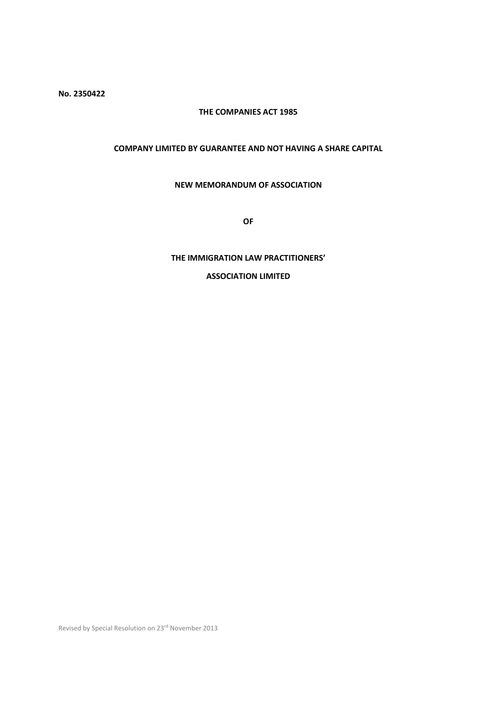No. 2350422

# THE COMPANIES ACT 1985

# COMPANY LIMITED BY GUARANTEE AND NOT HAVING A SHARE CAPITAL

## NEW MEMORANDUM OF ASSOCIATION

OF

## THE IMMIGRATION LAW PRACTITIONERS'

# ASSOCIATION LIMITED

Revised by Special Resolution on 23rd November 2013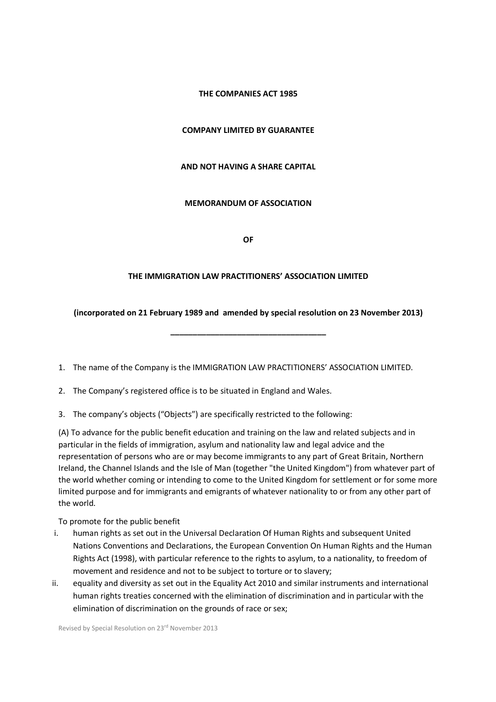# THE COMPANIES ACT 1985

# COMPANY LIMITED BY GUARANTEE

### AND NOT HAVING A SHARE CAPITAL

## MEMORANDUM OF ASSOCIATION

OF

#### THE IMMIGRATION LAW PRACTITIONERS' ASSOCIATION LIMITED

## (incorporated on 21 February 1989 and amended by special resolution on 23 November 2013)

\_\_\_\_\_\_\_\_\_\_\_\_\_\_\_\_\_\_\_\_\_\_\_\_\_\_\_\_\_\_\_\_\_\_\_

- 1. The name of the Company is the IMMIGRATION LAW PRACTITIONERS' ASSOCIATION LIMITED.
- 2. The Company's registered office is to be situated in England and Wales.
- 3. The company's objects ("Objects") are specifically restricted to the following:

(A) To advance for the public benefit education and training on the law and related subjects and in particular in the fields of immigration, asylum and nationality law and legal advice and the representation of persons who are or may become immigrants to any part of Great Britain, Northern Ireland, the Channel Islands and the Isle of Man (together "the United Kingdom") from whatever part of the world whether coming or intending to come to the United Kingdom for settlement or for some more limited purpose and for immigrants and emigrants of whatever nationality to or from any other part of the world.

To promote for the public benefit

- i. human rights as set out in the Universal Declaration Of Human Rights and subsequent United Nations Conventions and Declarations, the European Convention On Human Rights and the Human Rights Act (1998), with particular reference to the rights to asylum, to a nationality, to freedom of movement and residence and not to be subject to torture or to slavery;
- ii. equality and diversity as set out in the Equality Act 2010 and similar instruments and international human rights treaties concerned with the elimination of discrimination and in particular with the elimination of discrimination on the grounds of race or sex;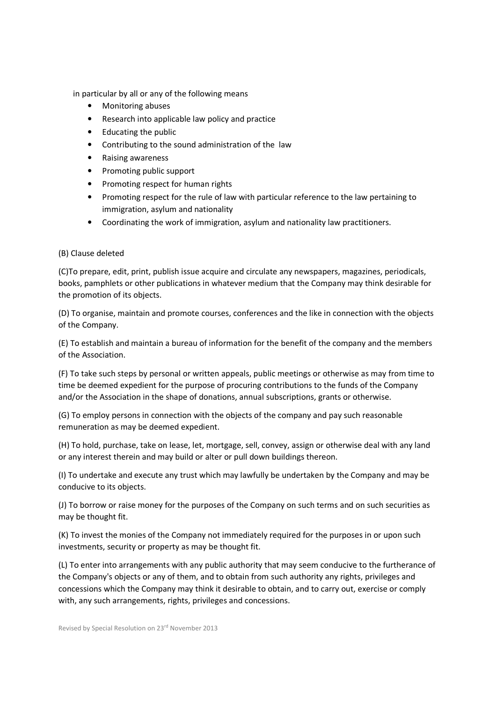in particular by all or any of the following means

- Monitoring abuses
- Research into applicable law policy and practice
- Educating the public
- Contributing to the sound administration of the law
- Raising awareness
- Promoting public support
- Promoting respect for human rights
- Promoting respect for the rule of law with particular reference to the law pertaining to immigration, asylum and nationality
- Coordinating the work of immigration, asylum and nationality law practitioners.

# (B) Clause deleted

(C)To prepare, edit, print, publish issue acquire and circulate any newspapers, magazines, periodicals, books, pamphlets or other publications in whatever medium that the Company may think desirable for the promotion of its objects.

(D) To organise, maintain and promote courses, conferences and the like in connection with the objects of the Company.

(E) To establish and maintain a bureau of information for the benefit of the company and the members of the Association.

(F) To take such steps by personal or written appeals, public meetings or otherwise as may from time to time be deemed expedient for the purpose of procuring contributions to the funds of the Company and/or the Association in the shape of donations, annual subscriptions, grants or otherwise.

(G) To employ persons in connection with the objects of the company and pay such reasonable remuneration as may be deemed expedient.

(H) To hold, purchase, take on lease, let, mortgage, sell, convey, assign or otherwise deal with any land or any interest therein and may build or alter or pull down buildings thereon.

(I) To undertake and execute any trust which may lawfully be undertaken by the Company and may be conducive to its objects.

(J) To borrow or raise money for the purposes of the Company on such terms and on such securities as may be thought fit.

(K) To invest the monies of the Company not immediately required for the purposes in or upon such investments, security or property as may be thought fit.

(L) To enter into arrangements with any public authority that may seem conducive to the furtherance of the Company's objects or any of them, and to obtain from such authority any rights, privileges and concessions which the Company may think it desirable to obtain, and to carry out, exercise or comply with, any such arrangements, rights, privileges and concessions.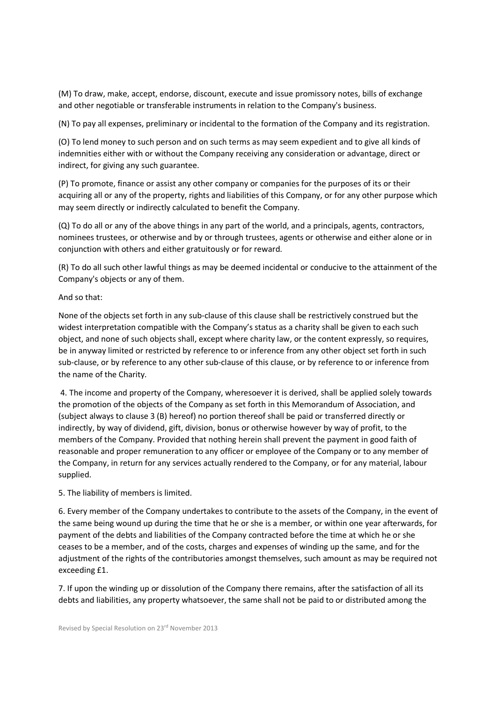(M) To draw, make, accept, endorse, discount, execute and issue promissory notes, bills of exchange and other negotiable or transferable instruments in relation to the Company's business.

(N) To pay all expenses, preliminary or incidental to the formation of the Company and its registration.

(O) To lend money to such person and on such terms as may seem expedient and to give all kinds of indemnities either with or without the Company receiving any consideration or advantage, direct or indirect, for giving any such guarantee.

(P) To promote, finance or assist any other company or companies for the purposes of its or their acquiring all or any of the property, rights and liabilities of this Company, or for any other purpose which may seem directly or indirectly calculated to benefit the Company.

(Q) To do all or any of the above things in any part of the world, and a principals, agents, contractors, nominees trustees, or otherwise and by or through trustees, agents or otherwise and either alone or in conjunction with others and either gratuitously or for reward.

(R) To do all such other lawful things as may be deemed incidental or conducive to the attainment of the Company's objects or any of them.

## And so that:

None of the objects set forth in any sub-clause of this clause shall be restrictively construed but the widest interpretation compatible with the Company's status as a charity shall be given to each such object, and none of such objects shall, except where charity law, or the content expressly, so requires, be in anyway limited or restricted by reference to or inference from any other object set forth in such sub-clause, or by reference to any other sub-clause of this clause, or by reference to or inference from the name of the Charity.

 4. The income and property of the Company, wheresoever it is derived, shall be applied solely towards the promotion of the objects of the Company as set forth in this Memorandum of Association, and (subject always to clause 3 (B) hereof) no portion thereof shall be paid or transferred directly or indirectly, by way of dividend, gift, division, bonus or otherwise however by way of profit, to the members of the Company. Provided that nothing herein shall prevent the payment in good faith of reasonable and proper remuneration to any officer or employee of the Company or to any member of the Company, in return for any services actually rendered to the Company, or for any material, labour supplied.

# 5. The liability of members is limited.

6. Every member of the Company undertakes to contribute to the assets of the Company, in the event of the same being wound up during the time that he or she is a member, or within one year afterwards, for payment of the debts and liabilities of the Company contracted before the time at which he or she ceases to be a member, and of the costs, charges and expenses of winding up the same, and for the adjustment of the rights of the contributories amongst themselves, such amount as may be required not exceeding £1.

7. If upon the winding up or dissolution of the Company there remains, after the satisfaction of all its debts and liabilities, any property whatsoever, the same shall not be paid to or distributed among the